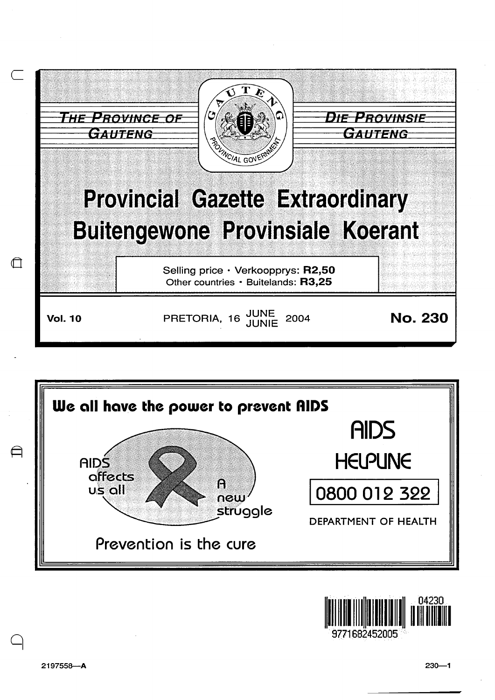





9771682452005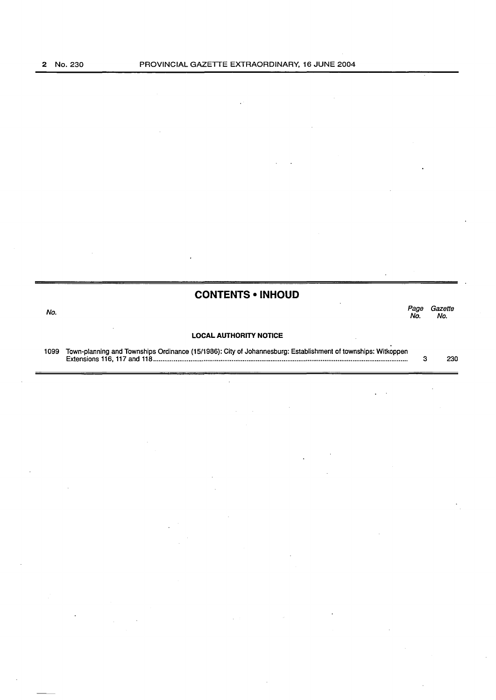$=$ 

|      | <b>CONTENTS • INHOUD</b>                                                                                     |      |                |
|------|--------------------------------------------------------------------------------------------------------------|------|----------------|
| No.  |                                                                                                              | Page | Gazette<br>No. |
|      | <b>LOCAL AUTHORITY NOTICE</b>                                                                                |      |                |
| 1099 | Town-planning and Townships Ordinance (15/1986): City of Johannesburg: Establishment of townships: Witkoppen |      | 230            |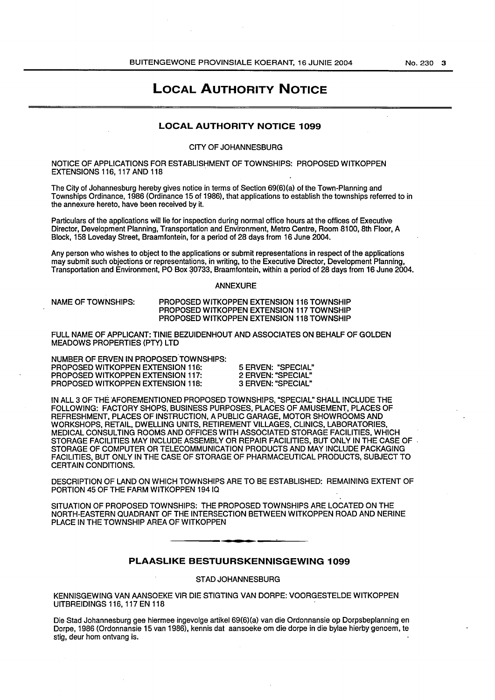# **LOCAL AUTHORITY NOTICE**

## **LOCAL AUTHORITY NOTICE 1099**

### CITY OF JOHANNESBURG

NOTICE OF APPLICATIONS FOR ESTABLISHMENT OF TOWNSHIPS: PROPOSED WITKOPPEN EXTENSIONS 116, 117 AND 118

The City of Johannesburg hereby gives notice in terms of Section 69(6)(a) of the Town-Planning and Townships Ordinance, 1986 (Ordinance 15 of 1986), that applications to establish the townships referred to in the annexure hereto, have been received by it.

Particulars of the applications will lie for inspection during normal office hours at the offices of Executive Director, Development Planning, Transportation and Environment, Metro Centre, Room 8100, 8th Floor, A Block, 158 Loveday Street, Braamfontein, for a period of 28 days from 16 June 2004.

Any person who wishes to object to the applications or submit representations in respect of the applications may submit such objections or representations, in writing, to the Executive Director, Development Planning, Transportation and Environment, PO Box 30733, Braamfontein, within a period of 28 days from 16 June 2004.

#### ANNEXURE

NAME OF TOWNSHIPS:

PROPOSED WITKOPPEN EXTENSION 116 TOWNSHIP PROPOSED WITKOPPEN EXTENSION 117 TOWNSHIP PROPOSED WITKOPPEN EXTENSION 118 TOWNSHIP

FULL NAME OF APPLICANT: TINIE BEZUIDENHOUT AND ASSOCIATES ON BEHALF OF GOLDEN MEADOWS PROPERTIES (PTY) LTD

NUMBER OF ERVEN IN PROPOSED TOWNSHIPS: PROPOSED WITKOPPEN EXTENSION 116:

PROPOSED WITKOPPEN EXTENSION 117: PROPOSED WITKOPPEN EXTENSION 118: 5 ERVEN: "SPECIAL" 2 ERVEN: "SPECIAL" 3 ERVEN: "SPECIAL"

IN ALL 3 OF THE AFOREMENTIONED PROPOSED TOWNSHIPS, "SPECIAL" SHALL INCLUDE THE FOLLOWING: FACTORY SHOPS, BUSINESS PURPOSES, PLACES OF AMUSEMENT, PLACES OF REFRESHMENT, PLACES OF INSTRUCTION, A PUBLIC GARAGE, MOTOR SHOWROOMS AND WORKSHOPS, RETAIL, DWELLING UNITS, RETIREMENT VILLAGES, CLINICS, LABORATORIES, MEDICAL CONSULTING ROOMS AND OFFICES WITH ASSOCIATED STORAGE FACILITIES, WHICH STORAGE FACILITIES MAY INCLUDE ASSEMBLY OR REPAIR FACILITIES, BUT ONLY IN THE CASE OF . STORAGE OF COMPUTER OR TELECOMMUNICATION PRODUCTS AND MAY INCLUDE PACKAGING FACILITIES, BUT ONLY IN THE CASE OF STORAGE OF PHARMACEUTICAL PRODUCTS, SUBJECT TO CERTAIN CONDITIONS.

DESCRIPTION OF LAND ON WHICH TOWNSHIPS ARE TO BE ESTABLISHED: REMAINING EXTENT OF PORTION 45 OF THE FARM WITKOPPEN 1941Q

SITUATION OF PROPOSED TOWNSHIPS: THE PROPOSED TOWNSHIPS ARE LOCATED ON THE NORTH-EASTERN QUADRANT OF THE INTERSECTION BETWEEN WITKOPPEN ROAD AND NERINE PLACE IN THE TOWNSHIP AREA OF WITKOPPEN

## **PLAASLIKE BESTUURSKENNISGEWING 1099**

STAD JOHANNESBURG

KENNISGEWING VAN AANSOEKE VIR DIE STIGTING VAN DORPE: VOORGESTELDE WITKOPPEN UITBREIDINGS 116, 117 EN 118

Die Stad Johannesburg gee hiermee ingevolge artikel 69(6)(a) van die Ordonnansie op Dorpsbeplanning en Dorpe, 1986 (Ordonnansie 15 van 1986), kennis dat aansoeke om die dorpe in die bylae hierby genoem, te stig, deur hom ontvang is.